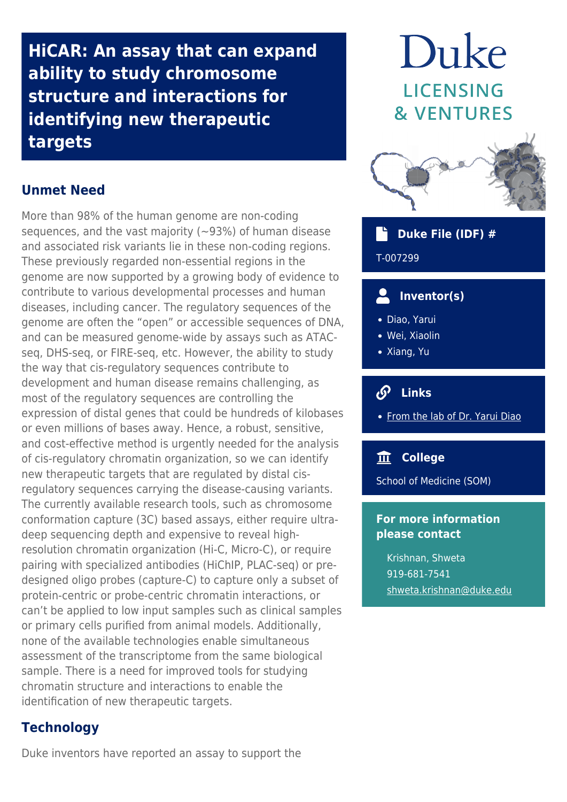**HiCAR: An assay that can expand ability to study chromosome structure and interactions for identifying new therapeutic targets**

## **Unmet Need**

More than 98% of the human genome are non-coding sequences, and the vast majority  $(-93%)$  of human disease and associated risk variants lie in these non-coding regions. These previously regarded non-essential regions in the genome are now supported by a growing body of evidence to contribute to various developmental processes and human diseases, including cancer. The regulatory sequences of the genome are often the "open" or accessible sequences of DNA, and can be measured genome-wide by assays such as ATACseq, DHS-seq, or FIRE-seq, etc. However, the ability to study the way that cis-regulatory sequences contribute to development and human disease remains challenging, as most of the regulatory sequences are controlling the expression of distal genes that could be hundreds of kilobases or even millions of bases away. Hence, a robust, sensitive, and cost-effective method is urgently needed for the analysis of cis-regulatory chromatin organization, so we can identify new therapeutic targets that are regulated by distal cisregulatory sequences carrying the disease-causing variants. The currently available research tools, such as chromosome conformation capture (3C) based assays, either require ultradeep sequencing depth and expensive to reveal highresolution chromatin organization (Hi-C, Micro-C), or require pairing with specialized antibodies (HiChIP, PLAC-seq) or predesigned oligo probes (capture-C) to capture only a subset of protein-centric or probe-centric chromatin interactions, or can't be applied to low input samples such as clinical samples or primary cells purified from animal models. Additionally, none of the available technologies enable simultaneous assessment of the transcriptome from the same biological sample. There is a need for improved tools for studying chromatin structure and interactions to enable the identification of new therapeutic targets.

## **Technology**

Duke inventors have reported an assay to support the

# Duke LICENSING **& VENTURES**



 **Duke File (IDF) #** T-007299

## **Inventor(s)**

- Diao, Yarui
- Wei, Xiaolin
- Xiang, Yu

# **Links**

• [From the lab of Dr. Yarui Diao](https://www.diaolab.org/)

#### **College**

School of Medicine (SOM)

#### **For more information please contact**

Krishnan, Shweta 919-681-7541 [shweta.krishnan@duke.edu](mailto:shweta.krishnan@duke.edu)